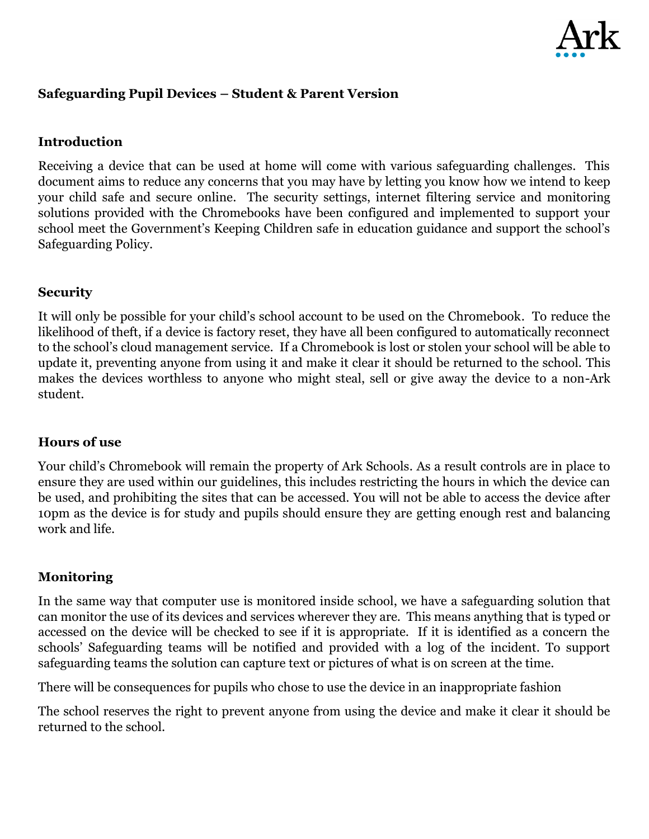

# **Safeguarding Pupil Devices – Student & Parent Version**

### **Introduction**

Receiving a device that can be used at home will come with various safeguarding challenges. This document aims to reduce any concerns that you may have by letting you know how we intend to keep your child safe and secure online. The security settings, internet filtering service and monitoring solutions provided with the Chromebooks have been configured and implemented to support your school meet the Government's Keeping Children safe in education guidance and support the school's Safeguarding Policy.

#### **Security**

It will only be possible for your child's school account to be used on the Chromebook. To reduce the likelihood of theft, if a device is factory reset, they have all been configured to automatically reconnect to the school's cloud management service. If a Chromebook is lost or stolen your school will be able to update it, preventing anyone from using it and make it clear it should be returned to the school. This makes the devices worthless to anyone who might steal, sell or give away the device to a non-Ark student.

#### **Hours of use**

Your child's Chromebook will remain the property of Ark Schools. As a result controls are in place to ensure they are used within our guidelines, this includes restricting the hours in which the device can be used, and prohibiting the sites that can be accessed. You will not be able to access the device after 10pm as the device is for study and pupils should ensure they are getting enough rest and balancing work and life.

#### **Monitoring**

In the same way that computer use is monitored inside school, we have a safeguarding solution that can monitor the use of its devices and services wherever they are. This means anything that is typed or accessed on the device will be checked to see if it is appropriate. If it is identified as a concern the schools' Safeguarding teams will be notified and provided with a log of the incident. To support safeguarding teams the solution can capture text or pictures of what is on screen at the time.

There will be consequences for pupils who chose to use the device in an inappropriate fashion

The school reserves the right to prevent anyone from using the device and make it clear it should be returned to the school.